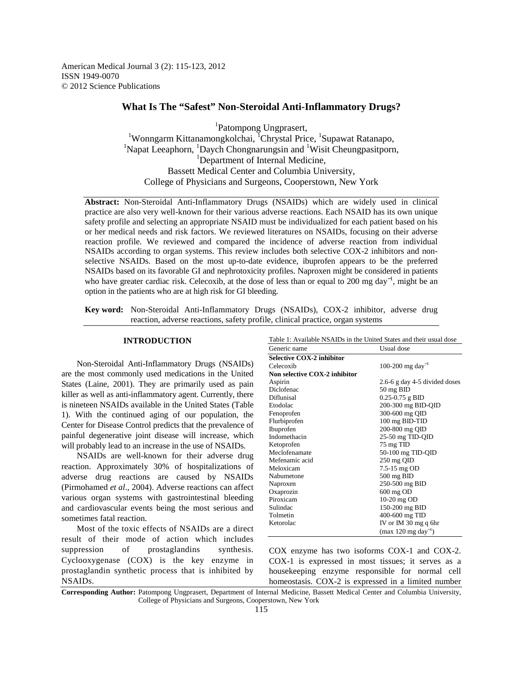American Medical Journal 3 (2): 115-123, 2012 ISSN 1949-0070 © 2012 Science Publications

## **What Is The "Safest" Non-Steroidal Anti-Inflammatory Drugs?**

1 Patompong Ungprasert, <sup>1</sup>Wonngarm Kittanamongkolchai, <sup>1</sup>Chrystal Price, <sup>1</sup>Supawat Ratanapo, <sup>1</sup>Napat Leeaphorn, <sup>1</sup>Daych Chongnarungsin and <sup>1</sup>Wisit Cheungpasitporn, <sup>1</sup>Department of Internal Medicine, Bassett Medical Center and Columbia University, College of Physicians and Surgeons, Cooperstown, New York

**Abstract:** Non-Steroidal Anti-Inflammatory Drugs (NSAIDs) which are widely used in clinical practice are also very well-known for their various adverse reactions. Each NSAID has its own unique safety profile and selecting an appropriate NSAID must be individualized for each patient based on his or her medical needs and risk factors. We reviewed literatures on NSAIDs, focusing on their adverse reaction profile. We reviewed and compared the incidence of adverse reaction from individual NSAIDs according to organ systems. This review includes both selective COX-2 inhibitors and nonselective NSAIDs. Based on the most up-to-date evidence, ibuprofen appears to be the preferred NSAIDs based on its favorable GI and nephrotoxicity profiles. Naproxen might be considered in patients who have greater cardiac risk. Celecoxib, at the dose of less than or equal to 200 mg day<sup>-1</sup>, might be an option in the patients who are at high risk for GI bleeding.

**Key word:** Non-Steroidal Anti-Inflammatory Drugs (NSAIDs), COX-2 inhibitor, adverse drug reaction, adverse reactions, safety profile, clinical practice, organ systems

## **INTRODUCTION**

 Non-Steroidal Anti-Inflammatory Drugs (NSAIDs) are the most commonly used medications in the United States (Laine, 2001). They are primarily used as pain killer as well as anti-inflammatory agent. Currently, there is nineteen NSAIDs available in the United States (Table 1). With the continued aging of our population, the Center for Disease Control predicts that the prevalence of painful degenerative joint disease will increase, which will probably lead to an increase in the use of NSAIDs.

 NSAIDs are well-known for their adverse drug reaction. Approximately 30% of hospitalizations of adverse drug reactions are caused by NSAIDs (Pirmohamed *et al*., 2004). Adverse reactions can affect various organ systems with gastrointestinal bleeding and cardiovascular events being the most serious and sometimes fatal reaction.

 Most of the toxic effects of NSAIDs are a direct result of their mode of action which includes suppression of prostaglandins synthesis. Cyclooxygenase (COX) is the key enzyme in prostaglandin synthetic process that is inhibited by NSAIDs.

| Generic name                         | Usual dose                      |  |
|--------------------------------------|---------------------------------|--|
| Selective COX-2 inhibitor            |                                 |  |
| Celecoxib                            | 100-200 mg day <sup>-1</sup>    |  |
| <b>Non selective COX-2 inhibitor</b> |                                 |  |
| Aspirin                              | 2.6-6 g day 4-5 divided doses   |  |
| Diclofenac                           | 50 mg BID                       |  |
| Diflunisal                           | 0.25-0.75 g BID                 |  |
| Etodolac                             | 200-300 mg BID-QID              |  |
| Fenoprofen                           | 300-600 mg QID                  |  |
| Flurbiprofen                         | 100 mg BID-TID                  |  |
| Ibuprofen                            | 200-800 mg OID                  |  |
| Indomethacin                         | 25-50 mg TID-QID                |  |
| Ketoprofen                           | 75 mg TID                       |  |
| Meclofenamate                        | 50-100 mg TID-QID               |  |
| Mefenamic acid                       | 250 mg QID                      |  |
| Meloxicam                            | 7.5-15 mg OD                    |  |
| Nabumetone                           | $500 \text{ mg }$ BID           |  |
| Naproxen                             | 250-500 mg BID                  |  |
| Oxaprozin                            | 600 mg OD                       |  |
| Piroxicam                            | 10-20 mg OD                     |  |
| Sulindac                             | 150-200 mg BID                  |  |
| Tolmetin                             | 400-600 mg TID                  |  |
| Ketorolac                            | IV or IM 30 mg q 6hr            |  |
|                                      | (max 120 mg day <sup>-1</sup> ) |  |

COX enzyme has two isoforms COX-1 and COX-2. COX-1 is expressed in most tissues; it serves as a housekeeping enzyme responsible for normal cell homeostasis. COX-2 is expressed in a limited number

**Corresponding Author:** Patompong Ungprasert, Department of Internal Medicine, Bassett Medical Center and Columbia University, College of Physicians and Surgeons, Cooperstown, New York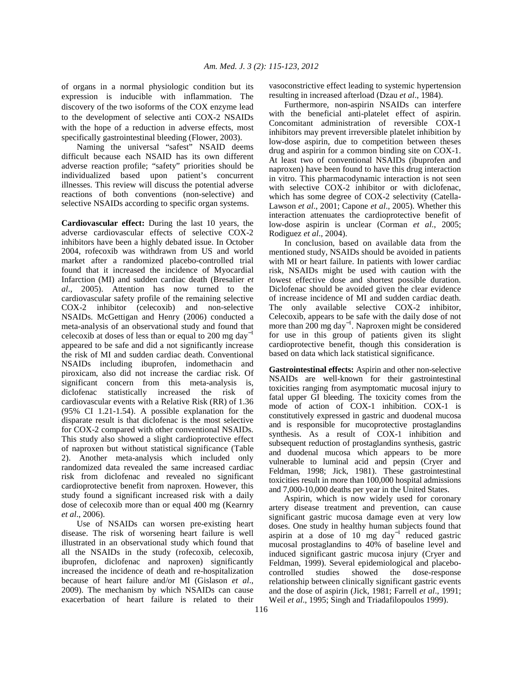of organs in a normal physiologic condition but its expression is inducible with inflammation. The discovery of the two isoforms of the COX enzyme lead to the development of selective anti COX-2 NSAIDs with the hope of a reduction in adverse effects, most specifically gastrointestinal bleeding (Flower, 2003).

 Naming the universal "safest" NSAID deems difficult because each NSAID has its own different adverse reaction profile; "safety" priorities should be individualized based upon patient's concurrent illnesses. This review will discuss the potential adverse reactions of both conventions (non-selective) and selective NSAIDs according to specific organ systems.

**Cardiovascular effect:** During the last 10 years, the adverse cardiovascular effects of selective COX-2 inhibitors have been a highly debated issue. In October 2004, rofecoxib was withdrawn from US and world market after a randomized placebo-controlled trial found that it increased the incidence of Myocardial Infarction (MI) and sudden cardiac death (Bresalier *et al*., 2005). Attention has now turned to the cardiovascular safety profile of the remaining selective COX-2 inhibitor (celecoxib) and non-selective NSAIDs. McGettigan and Henry (2006) conducted a meta-analysis of an observational study and found that celecoxib at doses of less than or equal to 200 mg day<sup>-1</sup> appeared to be safe and did a not significantly increase the risk of MI and sudden cardiac death. Conventional NSAIDs including ibuprofen, indomethacin and piroxicam, also did not increase the cardiac risk. Of significant concern from this meta-analysis is, diclofenac statistically increased the risk of cardiovascular events with a Relative Risk (RR) of 1.36 (95% CI 1.21-1.54). A possible explanation for the disparate result is that diclofenac is the most selective for COX-2 compared with other conventional NSAIDs. This study also showed a slight cardioprotective effect of naproxen but without statistical significance (Table 2). Another meta-analysis which included only randomized data revealed the same increased cardiac risk from diclofenac and revealed no significant cardioprotective benefit from naproxen. However, this study found a significant increased risk with a daily dose of celecoxib more than or equal 400 mg (Kearnry *et al*., 2006).

 Use of NSAIDs can worsen pre-existing heart disease. The risk of worsening heart failure is well illustrated in an observational study which found that all the NSAIDs in the study (rofecoxib, celecoxib, ibuprofen, diclofenac and naproxen) significantly increased the incidence of death and re-hospitalization because of heart failure and/or MI (Gislason *et al*., 2009). The mechanism by which NSAIDs can cause exacerbation of heart failure is related to their

vasoconstrictive effect leading to systemic hypertension resulting in increased afterload (Dzau *et al*., 1984).

 Furthermore, non-aspirin NSAIDs can interfere with the beneficial anti-platelet effect of aspirin. Concomitant administration of reversible COX-1 inhibitors may prevent irreversible platelet inhibition by low-dose aspirin, due to competition between theses drug and aspirin for a common binding site on COX-1. At least two of conventional NSAIDs (ibuprofen and naproxen) have been found to have this drug interaction in vitro. This pharmacodynamic interaction is not seen with selective COX-2 inhibitor or with diclofenac, which has some degree of COX-2 selectivity (Catella-Lawson *et al*., 2001; Capone *et al*., 2005). Whether this interaction attenuates the cardioprotective benefit of low-dose aspirin is unclear (Corman *et al*., 2005; Rodiguez *et al*., 2004).

 In conclusion, based on available data from the mentioned study, NSAIDs should be avoided in patients with MI or heart failure. In patients with lower cardiac risk, NSAIDs might be used with caution with the lowest effective dose and shortest possible duration. Diclofenac should be avoided given the clear evidence of increase incidence of MI and sudden cardiac death. The only available selective COX-2 inhibitor, Celecoxib, appears to be safe with the daily dose of not more than 200 mg day<sup>-1</sup>. Naproxen might be considered for use in this group of patients given its slight cardioprotective benefit, though this consideration is based on data which lack statistical significance.

**Gastrointestinal effects:** Aspirin and other non-selective NSAIDs are well-known for their gastrointestinal toxicities ranging from asymptomatic mucosal injury to fatal upper GI bleeding. The toxicity comes from the mode of action of COX-1 inhibition. COX-1 is constitutively expressed in gastric and duodenal mucosa and is responsible for mucoprotective prostaglandins synthesis. As a result of COX-1 inhibition and subsequent reduction of prostaglandins synthesis, gastric and duodenal mucosa which appears to be more vulnerable to luminal acid and pepsin (Cryer and Feldman, 1998; Jick, 1981). These gastrointestinal toxicities result in more than 100,000 hospital admissions and 7,000-10,000 deaths per year in the United States.

 Aspirin, which is now widely used for coronary artery disease treatment and prevention, can cause significant gastric mucosa damage even at very low doses. One study in healthy human subjects found that aspirin at a dose of  $10$  mg day<sup>-1</sup> reduced gastric mucosal prostaglandins to 40% of baseline level and induced significant gastric mucosa injury (Cryer and Feldman, 1999). Several epidemiological and placebocontrolled studies showed the dose-response relationship between clinically significant gastric events and the dose of aspirin (Jick, 1981; Farrell *et al*., 1991; Weil *et al*., 1995; Singh and Triadafilopoulos 1999).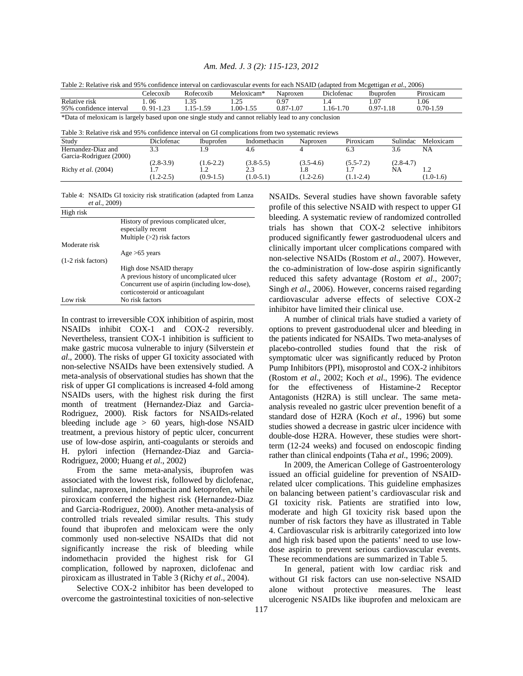|  |  |  | Am. Med. J. 3 (2): 115-123, 2012 |  |
|--|--|--|----------------------------------|--|
|--|--|--|----------------------------------|--|

| Table 2: Relative risk and 95% confidence interval on cardiovascular events for each NSAID (adapted from Mcgettigan et al., 2006)                                                                          |               |                  |              |               |            |               |          |               |
|------------------------------------------------------------------------------------------------------------------------------------------------------------------------------------------------------------|---------------|------------------|--------------|---------------|------------|---------------|----------|---------------|
|                                                                                                                                                                                                            | Celecoxib     | Rofecoxib        | Meloxicam*   | Naproxen      | Diclofenac | Ibuprofen     |          | Piroxicam     |
| Relative risk                                                                                                                                                                                              | .06           | 1.35             | 1.25         | 0.97          | l .4       | 1.07          |          | 1.06          |
| 95% confidence interval                                                                                                                                                                                    | $0.91 - 1.23$ | 1.15-1.59        | 1.00-1.55    | $0.87 - 1.07$ | 1.16-1.70  | $0.97 - 1.18$ |          | $0.70 - 1.59$ |
| *Data of meloxicam is largely based upon one single study and cannot reliably lead to any conclusion<br>Table 3: Relative risk and 95% confidence interval on GI complications from two systematic reviews |               |                  |              |               |            |               |          |               |
| Study                                                                                                                                                                                                      | Diclofenac    | <b>Ibuprofen</b> | Indomethacin |               | Naproxen   | Piroxicam     | Sulindac | Meloxicam     |
| Hernandez-Diaz and<br>Garcia-Rodriguez (2000)                                                                                                                                                              | 33            | 1.9              | 4.6          |               | 6.3        |               | 3.6      | NA            |

 $(2.8-3.9)$   $(1.6-2.2)$   $(3.8-5.5)$   $(3.5-4.6)$   $(5.5-7.2)$   $(2.8-4.7)$ 

Richy *et al.* (2004) 1.7 1.2 2.3 1.8 1.7 NA 1.2<br>(1.2-2.5) (0.9-1.5) (1.0-5.1) (1.2-2.6) (1.1-2.4) (1.0-1.6)  $(1.2-2.5)$   $(0.9-1.5)$   $(1.0-5.1)$   $(1.2-2.6)$   $(1.1-2.4)$   $(1.0-1.6)$ 

| Table 4: NSAIDs GI toxicity risk stratification (adapted from Lanza) |
|----------------------------------------------------------------------|
| <i>et al.</i> , 2009)                                                |

| High risk            |                                                                                    |
|----------------------|------------------------------------------------------------------------------------|
|                      | History of previous complicated ulcer,<br>especially recent                        |
|                      | Multiple $(>2)$ risk factors                                                       |
| Moderate risk        |                                                                                    |
|                      | Age $>65$ years                                                                    |
| $(1-2$ risk factors) |                                                                                    |
|                      | High dose NSAID therapy                                                            |
|                      | A previous history of uncomplicated ulcer                                          |
|                      | Concurrent use of aspirin (including low-dose),<br>corticosteroid or anticoagulant |
| Low risk             | No risk factors                                                                    |

In contrast to irreversible COX inhibition of aspirin, most NSAIDs inhibit COX-1 and COX-2 reversibly. Nevertheless, transient COX-1 inhibition is sufficient to make gastric mucosa vulnerable to injury (Silverstein *et al*., 2000). The risks of upper GI toxicity associated with non-selective NSAIDs have been extensively studied. A meta-analysis of observational studies has shown that the risk of upper GI complications is increased 4-fold among NSAIDs users, with the highest risk during the first month of treatment (Hernandez-Diaz and Garcia-Rodriguez, 2000). Risk factors for NSAIDs-related bleeding include age > 60 years, high-dose NSAID treatment, a previous history of peptic ulcer, concurrent use of low-dose aspirin, anti-coagulants or steroids and H. pylori infection (Hernandez-Diaz and Garcia-Rodriguez, 2000; Huang *et al*., 2002)

 From the same meta-analysis, ibuprofen was associated with the lowest risk, followed by diclofenac, sulindac, naproxen, indomethacin and ketoprofen, while piroxicam conferred the highest risk (Hernandez-Diaz and Garcia-Rodriguez, 2000). Another meta-analysis of controlled trials revealed similar results. This study found that ibuprofen and meloxicam were the only commonly used non-selective NSAIDs that did not significantly increase the risk of bleeding while indomethacin provided the highest risk for GI complication, followed by naproxen, diclofenac and piroxicam as illustrated in Table 3 (Richy *et al*., 2004).

 Selective COX-2 inhibitor has been developed to overcome the gastrointestinal toxicities of non-selective NSAIDs. Several studies have shown favorable safety profile of this selective NSAID with respect to upper GI bleeding. A systematic review of randomized controlled trials has shown that COX-2 selective inhibitors produced significantly fewer gastroduodenal ulcers and clinically important ulcer complications compared with non-selective NSAIDs (Rostom *et al*., 2007). However, the co-administration of low-dose aspirin significantly reduced this safety advantage (Rostom *et al*., 2007; Singh *et al*., 2006). However, concerns raised regarding cardiovascular adverse effects of selective COX-2 inhibitor have limited their clinical use.

 A number of clinical trials have studied a variety of options to prevent gastroduodenal ulcer and bleeding in the patients indicated for NSAIDs. Two meta-analyses of placebo-controlled studies found that the risk of symptomatic ulcer was significantly reduced by Proton Pump Inhibitors (PPI), misoprostol and COX-2 inhibitors (Rostom *et al*., 2002; Koch *et al*., 1996). The evidence for the effectiveness of Histamine-2 Receptor Antagonists (H2RA) is still unclear. The same metaanalysis revealed no gastric ulcer prevention benefit of a standard dose of H2RA (Koch *et al*., 1996) but some studies showed a decrease in gastric ulcer incidence with double-dose H2RA. However, these studies were shortterm (12-24 weeks) and focused on endoscopic finding rather than clinical endpoints (Taha *et al*., 1996; 2009).

 In 2009, the American College of Gastroenterology issued an official guideline for prevention of NSAIDrelated ulcer complications. This guideline emphasizes on balancing between patient's cardiovascular risk and GI toxicity risk. Patients are stratified into low, moderate and high GI toxicity risk based upon the number of risk factors they have as illustrated in Table 4. Cardiovascular risk is arbitrarily categorized into low and high risk based upon the patients' need to use lowdose aspirin to prevent serious cardiovascular events. These recommendations are summarized in Table 5.

 In general, patient with low cardiac risk and without GI risk factors can use non-selective NSAID alone without protective measures. The least ulcerogenic NSAIDs like ibuprofen and meloxicam are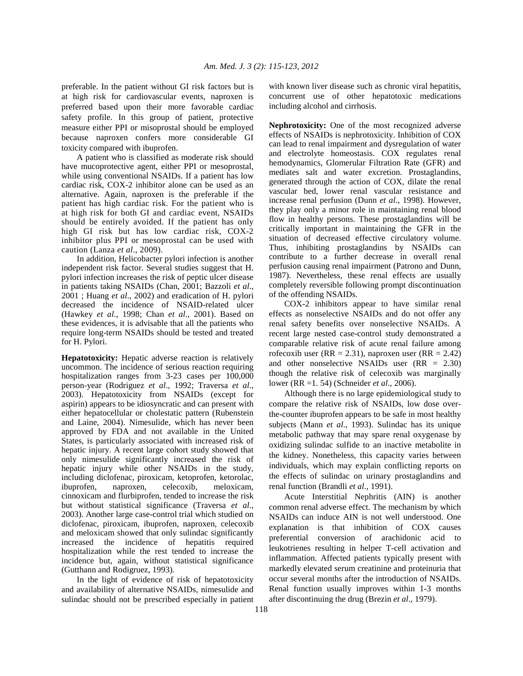preferable. In the patient without GI risk factors but is at high risk for cardiovascular events, naproxen is preferred based upon their more favorable cardiac safety profile. In this group of patient, protective measure either PPI or misoprostal should be employed because naproxen confers more considerable GI toxicity compared with ibuprofen.

 A patient who is classified as moderate risk should have mucoprotective agent, either PPI or mesoprostal, while using conventional NSAIDs. If a patient has low cardiac risk, COX-2 inhibitor alone can be used as an alternative. Again, naproxen is the preferable if the patient has high cardiac risk. For the patient who is at high risk for both GI and cardiac event, NSAIDs should be entirely avoided. If the patient has only high GI risk but has low cardiac risk, COX-2 inhibitor plus PPI or mesoprostal can be used with caution (Lanza *et al*., 2009).

 In addition, Helicobacter pylori infection is another independent risk factor. Several studies suggest that H. pylori infection increases the risk of peptic ulcer disease in patients taking NSAIDs (Chan, 2001; Bazzoli *et al*., 2001 ; Huang *et al*., 2002) and eradication of H. pylori decreased the incidence of NSAID-related ulcer (Hawkey *et al*., 1998; Chan *et al*., 2001). Based on these evidences, it is advisable that all the patients who require long-term NSAIDs should be tested and treated for H. Pylori.

**Hepatotoxicity:** Hepatic adverse reaction is relatively uncommon. The incidence of serious reaction requiring hospitalization ranges from 3-23 cases per 100,000 person-year (Rodriguez *et al*., 1992; Traversa *et al*., 2003). Hepatotoxicity from NSAIDs (except for aspirin) appears to be idiosyncratic and can present with either hepatocellular or cholestatic pattern (Rubenstein and Laine, 2004). Nimesulide, which has never been approved by FDA and not available in the United States, is particularly associated with increased risk of hepatic injury. A recent large cohort study showed that only nimesulide significantly increased the risk of hepatic injury while other NSAIDs in the study, including diclofenac, piroxicam, ketoprofen, ketorolac, ibuprofen, naproxen, celecoxib, meloxicam, cinnoxicam and flurbiprofen, tended to increase the risk but without statistical significance (Traversa *et al*., 2003). Another large case-control trial which studied on diclofenac, piroxicam, ibuprofen, naproxen, celecoxib and meloxicam showed that only sulindac significantly increased the incidence of hepatitis required hospitalization while the rest tended to increase the incidence but, again, without statistical significance (Gutthann and Rodigruez, 1993).

 In the light of evidence of risk of hepatotoxicity and availability of alternative NSAIDs, nimesulide and sulindac should not be prescribed especially in patient with known liver disease such as chronic viral hepatitis, concurrent use of other hepatotoxic medications including alcohol and cirrhosis.

**Nephrotoxicity:** One of the most recognized adverse effects of NSAIDs is nephrotoxicity. Inhibition of COX can lead to renal impairment and dysregulation of water and electrolyte homeostasis. COX regulates renal hemodynamics, Glomerular Filtration Rate (GFR) and mediates salt and water excretion. Prostaglandins, generated through the action of COX, dilate the renal vascular bed, lower renal vascular resistance and increase renal perfusion (Dunn *et al*., 1998). However, they play only a minor role in maintaining renal blood flow in healthy persons. These prostaglandins will be critically important in maintaining the GFR in the situation of decreased effective circulatory volume. Thus, inhibiting prostaglandins by NSAIDs can contribute to a further decrease in overall renal perfusion causing renal impairment (Patrono and Dunn, 1987). Nevertheless, these renal effects are usually completely reversible following prompt discontinuation of the offending NSAIDs.

 COX-2 inhibitors appear to have similar renal effects as nonselective NSAIDs and do not offer any renal safety benefits over nonselective NSAIDs. A recent large nested case-control study demonstrated a comparable relative risk of acute renal failure among rofecoxib user ( $RR = 2.31$ ), naproxen user ( $RR = 2.42$ ) and other nonselective NSAIDs user (RR = 2.30) though the relative risk of celecoxib was marginally lower (RR =1. 54) (Schneider *et al*., 2006).

 Although there is no large epidemiological study to compare the relative risk of NSAIDs, low dose overthe-counter ibuprofen appears to be safe in most healthy subjects (Mann *et al*., 1993). Sulindac has its unique metabolic pathway that may spare renal oxygenase by oxidizing sulindac sulfide to an inactive metabolite in the kidney. Nonetheless, this capacity varies between individuals, which may explain conflicting reports on the effects of sulindac on urinary prostaglandins and renal function (Brandli *et al*., 1991).

 Acute Interstitial Nephritis (AIN) is another common renal adverse effect. The mechanism by which NSAIDs can induce AIN is not well understood. One explanation is that inhibition of COX causes preferential conversion of arachidonic acid to leukotrienes resulting in helper T-cell activation and inflammation. Affected patients typically present with markedly elevated serum creatinine and proteinuria that occur several months after the introduction of NSAIDs. Renal function usually improves within 1-3 months after discontinuing the drug (Brezin *et al*., 1979).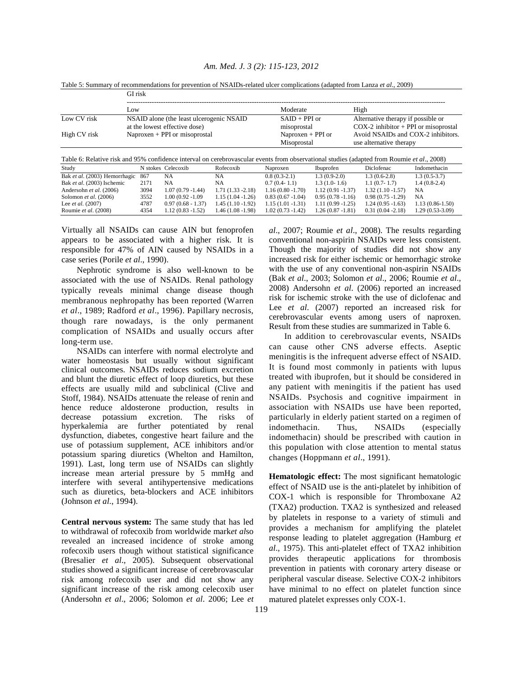|              | Table 5: Summary of recommendations for prevention of NSAIDs-related ulcer complications (adapted from Lanza <i>et al.</i> , 2009)<br>GI risk |                                    |                                                                              |  |
|--------------|-----------------------------------------------------------------------------------------------------------------------------------------------|------------------------------------|------------------------------------------------------------------------------|--|
|              | Low                                                                                                                                           | Moderate                           | High                                                                         |  |
| Low CV risk  | NSAID alone (the least ulcerogenic NSAID<br>at the lowest effective dose)                                                                     | $SAID + PPI$ or<br>misoprostal     | Alternative therapy if possible or<br>$COX-2$ inhibitor + PPI or misoprostal |  |
| High CV risk | Naproxen $+$ PPI or misoprostal                                                                                                               | Naproxen $+$ PPI or<br>Misoprostal | Avoid NSAIDs and COX-2 inhibitors.<br>use alternative therapy                |  |

*Am. Med. J. 3 (2): 115-123, 2012*

Table 5: Summary of recommendations for prevention of NSAIDs-related ulcer complications (adapted from Lanza *et al*., 2009)

Table 6: Relative risk and 95% confidence interval on cerebrovascular events from observational studies (adapted from Roumie *et al*., 2008) Study N stokes Celecoxib Rofecoxib Naproxen Ibuprofen Diclofenac Indomethacin Bak *et al.* (2003) Hemorrhagic 867 NA NA 0.8 (0.3-2.1) 1.3 (0.9-2.0) 1.3 (0.6-2.8) 1.3 (0.5-3.7)<br>Bak *et al.* (2003) Ischemic 2171 NA NA 0.7 (0.4-1.1) 1.3 (1.0-1.6) 1.1 (0.7-1.7) 1.4 (0.8-2.4) Bak *et al.* (2003) Ischemic 2171 NA NA 0.7 (0.4- 1.1) 1.3 (1.0- 1.6) 1.1 (0.7- 1.7) 1.4 (0.8- 2.4)<br>Andersohn *et al.* (2006) 3094 1.07 (0.79-1.44) 1.71 (1.33-2.18) 1.16 (0.80-1.70) 1.12 (0.91-1.37) 1.32 (1.10-1.57) NA Andersohn *et al.* (2006) 3094 1.07 (0.79 -1.44) 1.71 (1.33 -2.18) 1.16 (0.80 -1.70) 1.12 (0.91 -1.37) 1.32 (1.10 -1.57) NA<br>Solomon *et al.* (2006) 3552 1.00 (0.92 -1.09 1.15 (1.04 -1.26) 0.83 (0.67 -1.04) 0.95 (0.78 -1.16 Solomon *et al*. (2006) 3552 1.00 (0.92 -1.09 1.15 (1.04 -1.26) 0.83 (0.67 -1.04) 0.95 (0.78 -1.16) 0.98 (0.75 -1.29) NA Lee *et al*. (2007) 4787 0.97 (0.68 - 1.37) 1.45 (1.10 -1.92) 1.15 (1.01 -1.31) 1.11 (0.99 -1.25) 1.24 (0.95 -1.63) 1.13 (0.86-1.50) Roumie *et al*. (2008) 4354 1.12 (0.83 -1.52) 1.46 (1.08 -1.98) 1.02 (0.73 -1.42) 1.26 (0.87 -1.81) 0.31 (0.04 -2.18) 1.29 (0.53-3.09)

Virtually all NSAIDs can cause AIN but fenoprofen appears to be associated with a higher risk. It is responsible for 47% of AIN caused by NSAIDs in a case series (Porile *et al*., 1990).

 Nephrotic syndrome is also well-known to be associated with the use of NSAIDs. Renal pathology typically reveals minimal change disease though membranous nephropathy has been reported (Warren *et al*., 1989; Radford *et al*., 1996). Papillary necrosis, though rare nowadays, is the only permanent complication of NSAIDs and usually occurs after long-term use.

 NSAIDs can interfere with normal electrolyte and water homeostasis but usually without significant clinical outcomes. NSAIDs reduces sodium excretion and blunt the diuretic effect of loop diuretics, but these effects are usually mild and subclinical (Clive and Stoff, 1984). NSAIDs attenuate the release of renin and hence reduce aldosterone production, results in decrease potassium excretion. The risks of hyperkalemia are further potentiated by renal dysfunction, diabetes, congestive heart failure and the use of potassium supplement, ACE inhibitors and/or potassium sparing diuretics (Whelton and Hamilton, 1991). Last, long term use of NSAIDs can slightly increase mean arterial pressure by 5 mmHg and interfere with several antihypertensive medications such as diuretics, beta-blockers and ACE inhibitors (Johnson *et al*., 1994).

**Central nervous system:** The same study that has led to withdrawal of rofecoxib from worldwide mark*et al*so revealed an increased incidence of stroke among rofecoxib users though without statistical significance (Bresalier *et al*., 2005). Subsequent observational studies showed a significant increase of cerebrovascular risk among rofecoxib user and did not show any significant increase of the risk among celecoxib user (Andersohn *et al*., 2006; Solomon *et al*. 2006; Lee *et*  *al*., 2007; Roumie *et al*., 2008). The results regarding conventional non-aspirin NSAIDs were less consistent. Though the majority of studies did not show any increased risk for either ischemic or hemorrhagic stroke with the use of any conventional non-aspirin NSAIDs (Bak *et al*., 2003; Solomon *et al*., 2006; Roumie *et al*., 2008) Andersohn *et al*. (2006) reported an increased risk for ischemic stroke with the use of diclofenac and Lee *et al.* (2007) reported an increased risk for cerebrovascular events among users of naproxen. Result from these studies are summarized in Table 6.

 In addition to cerebrovascular events, NSAIDs can cause other CNS adverse effects. Aseptic meningitis is the infrequent adverse effect of NSAID. It is found most commonly in patients with lupus treated with ibuprofen, but it should be considered in any patient with meningitis if the patient has used NSAIDs. Psychosis and cognitive impairment in association with NSAIDs use have been reported, particularly in elderly patient started on a regimen of indomethacin. Thus, NSAIDs (especially indomethacin) should be prescribed with caution in this population with close attention to mental status changes (Hoppmann *et al*., 1991).

**Hematologic effect:** The most significant hematologic effect of NSAID use is the anti-platelet by inhibition of COX-1 which is responsible for Thromboxane A2 (TXA2) production. TXA2 is synthesized and released by platelets in response to a variety of stimuli and provides a mechanism for amplifying the platelet response leading to platelet aggregation (Hamburg *et al*., 1975). This anti-platelet effect of TXA2 inhibition provides therapeutic applications for thrombosis prevention in patients with coronary artery disease or peripheral vascular disease. Selective COX-2 inhibitors have minimal to no effect on platelet function since matured platelet expresses only COX-1.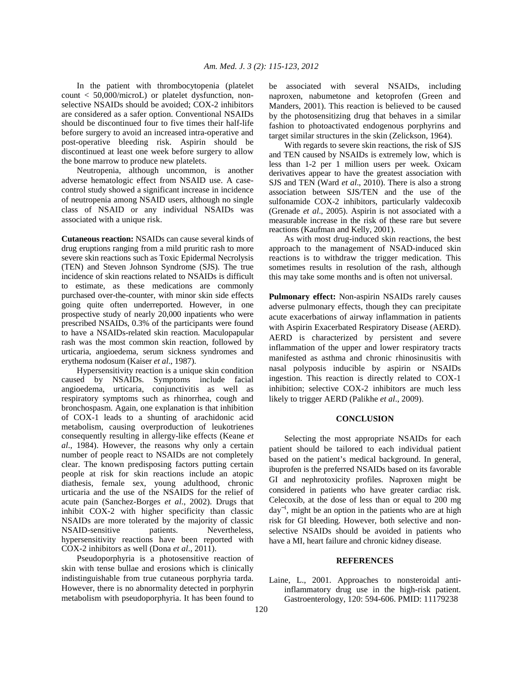In the patient with thrombocytopenia (platelet count < 50,000/microL) or platelet dysfunction, nonselective NSAIDs should be avoided; COX-2 inhibitors are considered as a safer option. Conventional NSAIDs should be discontinued four to five times their half-life before surgery to avoid an increased intra-operative and post-operative bleeding risk. Aspirin should be discontinued at least one week before surgery to allow the bone marrow to produce new platelets.

 Neutropenia, although uncommon, is another adverse hematologic effect from NSAID use. A casecontrol study showed a significant increase in incidence of neutropenia among NSAID users, although no single class of NSAID or any individual NSAIDs was associated with a unique risk.

**Cutaneous reaction:** NSAIDs can cause several kinds of drug eruptions ranging from a mild pruritic rash to more severe skin reactions such as Toxic Epidermal Necrolysis (TEN) and Steven Johnson Syndrome (SJS). The true incidence of skin reactions related to NSAIDs is difficult to estimate, as these medications are commonly purchased over-the-counter, with minor skin side effects going quite often underreported. However, in one prospective study of nearly 20,000 inpatients who were prescribed NSAIDs, 0.3% of the participants were found to have a NSAIDs-related skin reaction. Maculopapular rash was the most common skin reaction, followed by urticaria, angioedema, serum sickness syndromes and erythema nodosum (Kaiser *et al*., 1987).

 Hypersensitivity reaction is a unique skin condition caused by NSAIDs. Symptoms include facial angioedema, urticaria, conjunctivitis as well as respiratory symptoms such as rhinorrhea, cough and bronchospasm. Again, one explanation is that inhibition of COX-1 leads to a shunting of arachidonic acid metabolism, causing overproduction of leukotrienes consequently resulting in allergy-like effects (Keane *et al*., 1984). However, the reasons why only a certain number of people react to NSAIDs are not completely clear. The known predisposing factors putting certain people at risk for skin reactions include an atopic diathesis, female sex, young adulthood, chronic urticaria and the use of the NSAIDS for the relief of acute pain (Sanchez-Borges *et al*., 2002). Drugs that inhibit COX-2 with higher specificity than classic NSAIDs are more tolerated by the majority of classic NSAID-sensitive patients. Nevertheless, hypersensitivity reactions have been reported with COX-2 inhibitors as well (Dona *et al*., 2011).

 Pseudoporphyria is a photosensitive reaction of skin with tense bullae and erosions which is clinically indistinguishable from true cutaneous porphyria tarda. However, there is no abnormality detected in porphyrin metabolism with pseudoporphyria. It has been found to be associated with several NSAIDs, including naproxen, nabumetone and ketoprofen (Green and Manders, 2001). This reaction is believed to be caused by the photosensitizing drug that behaves in a similar fashion to photoactivated endogenous porphyrins and target similar structures in the skin (Zelickson, 1964).

 With regards to severe skin reactions, the risk of SJS and TEN caused by NSAIDs is extremely low, which is less than 1-2 per 1 million users per week. Oxicam derivatives appear to have the greatest association with SJS and TEN (Ward *et al*., 2010). There is also a strong association between SJS/TEN and the use of the sulfonamide COX-2 inhibitors, particularly valdecoxib (Grenade *et al*., 2005). Aspirin is not associated with a measurable increase in the risk of these rare but severe reactions (Kaufman and Kelly, 2001).

 As with most drug-induced skin reactions, the best approach to the management of NSAD-induced skin reactions is to withdraw the trigger medication. This sometimes results in resolution of the rash, although this may take some months and is often not universal.

**Pulmonary effect:** Non-aspirin NSAIDs rarely causes adverse pulmonary effects, though they can precipitate acute exacerbations of airway inflammation in patients with Aspirin Exacerbated Respiratory Disease (AERD). AERD is characterized by persistent and severe inflammation of the upper and lower respiratory tracts manifested as asthma and chronic rhinosinusitis with nasal polyposis inducible by aspirin or NSAIDs ingestion. This reaction is directly related to COX-1 inhibition; selective COX-2 inhibitors are much less likely to trigger AERD (Palikhe *et al*., 2009).

## **CONCLUSION**

 Selecting the most appropriate NSAIDs for each patient should be tailored to each individual patient based on the patient's medical background. In general, ibuprofen is the preferred NSAIDs based on its favorable GI and nephrotoxicity profiles. Naproxen might be considered in patients who have greater cardiac risk. Celecoxib, at the dose of less than or equal to 200 mg day<sup>−</sup><sup>1</sup> , might be an option in the patients who are at high risk for GI bleeding. However, both selective and nonselective NSAIDs should be avoided in patients who have a MI, heart failure and chronic kidney disease.

## **REFERENCES**

Laine, L., 2001. Approaches to nonsteroidal antiinflammatory drug use in the high-risk patient. Gastroenterology, 120: 594-606. PMID: 11179238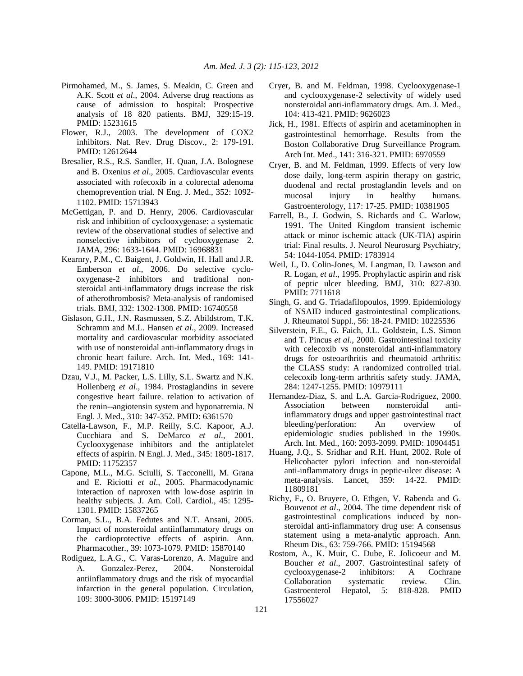- Pirmohamed, M., S. James, S. Meakin, C. Green and A.K. Scott *et al*., 2004. Adverse drug reactions as cause of admission to hospital: Prospective analysis of 18 820 patients. BMJ, 329:15-19. PMID: 15231615
- Flower, R.J., 2003. The development of COX2 inhibitors. Nat. Rev. Drug Discov., 2: 179-191. PMID: 12612644
- Bresalier, R.S., R.S. Sandler, H. Quan, J.A. Bolognese and B. Oxenius *et al*., 2005. Cardiovascular events associated with rofecoxib in a colorectal adenoma chemoprevention trial. N Eng. J. Med., 352: 1092- 1102. PMID: 15713943
- McGettigan, P. and D. Henry, 2006. Cardiovascular risk and inhibition of cyclooxygenase: a systematic review of the observational studies of selective and nonselective inhibitors of cyclooxygenase 2. JAMA, 296: 1633-1644. PMID: 16968831
- Kearnry, P.M., C. Baigent, J. Goldwin, H. Hall and J.R. Emberson *et al*., 2006. Do selective cyclooxygenase-2 inhibitors and traditional nonsteroidal anti-inflammatory drugs increase the risk of atherothrombosis? Meta-analysis of randomised trials. BMJ, 332: 1302-1308. PMID: 16740558
- Gislason, G.H., J.N. Rasmussen, S.Z. Abildstrom, T.K. Schramm and M.L. Hansen *et al*., 2009. Increased mortality and cardiovascular morbidity associated with use of nonsteroidal anti-inflammatory drugs in chronic heart failure. Arch. Int. Med., 169: 141- 149. PMID: 19171810
- Dzau, V.J., M. Packer, L.S. Lilly, S.L. Swartz and N.K. Hollenberg *et al*., 1984. Prostaglandins in severe congestive heart failure. relation to activation of the renin--angiotensin system and hyponatremia. N Engl. J. Med., 310: 347-352. PMID: 6361570
- Catella-Lawson, F., M.P. Reilly, S.C. Kapoor, A.J. Cucchiara and S. DeMarco *et al*., 2001. Cyclooxygenase inhibitors and the antiplatelet effects of aspirin. N Engl. J. Med., 345: 1809-1817. PMID: 11752357
- Capone, M.L., M.G. Sciulli, S. Tacconelli, M. Grana and E. Riciotti *et al*., 2005. Pharmacodynamic interaction of naproxen with low-dose aspirin in healthy subjects. J. Am. Coll. Cardiol., 45: 1295- 1301. PMID: 15837265
- Corman, S.L., B.A. Fedutes and N.T. Ansani, 2005. Impact of nonsteroidal antiinflammatory drugs on the cardioprotective effects of aspirin. Ann. Pharmacother., 39: 1073-1079. PMID: 15870140
- Rodiguez, L.A.G., C. Varas-Lorenzo, A. Maguire and A. Gonzalez-Perez, 2004. Nonsteroidal antiinflammatory drugs and the risk of myocardial infarction in the general population. Circulation, 109: 3000-3006. PMID: 15197149
- Cryer, B. and M. Feldman, 1998. Cyclooxygenase-1 and cyclooxygenase-2 selectivity of widely used nonsteroidal anti-inflammatory drugs. Am. J. Med., 104: 413-421. PMID: 9626023
- Jick, H., 1981. Effects of aspirin and acetaminophen in gastrointestinal hemorrhage. Results from the Boston Collaborative Drug Surveillance Program. Arch Int. Med., 141: 316-321. PMID: 6970559
- Cryer, B. and M. Feldman, 1999. Effects of very low dose daily, long-term aspirin therapy on gastric, duodenal and rectal prostaglandin levels and on mucosal injury in healthy humans. Gastroenterology, 117: 17-25. PMID: 10381905
- Farrell, B., J. Godwin, S. Richards and C. Warlow, 1991. The United Kingdom transient ischemic attack or minor ischemic attack (UK-TIA) aspirin trial: Final results. J. Neurol Neurosurg Psychiatry, 54: 1044-1054. PMID: 1783914
- Weil, J., D. Colin-Jones, M. Langman, D. Lawson and R. Logan, *et al*., 1995. Prophylactic aspirin and risk of peptic ulcer bleeding. BMJ, 310: 827-830. PMID: 7711618
- Singh, G. and G. Triadafilopoulos, 1999. Epidemiology of NSAID induced gastrointestinal complications. J. Rheumatol Suppl., 56: 18-24. PMID: 10225536
- Silverstein, F.E., G. Faich, J.L. Goldstein, L.S. Simon and T. Pincus *et al*., 2000. Gastrointestinal toxicity with celecoxib vs nonsteroidal anti-inflammatory drugs for osteoarthritis and rheumatoid arthritis: the CLASS study: A randomized controlled trial. celecoxib long-term arthritis safety study. JAMA, 284: 1247-1255. PMID: 10979111
- Hernandez-Diaz, S. and L.A. Garcia-Rodriguez, 2000. Association between nonsteroidal antiinflammatory drugs and upper gastrointestinal tract bleeding/perforation: An overview of epidemiologic studies published in the 1990s. Arch. Int. Med., 160: 2093-2099. PMID: 10904451
- Huang, J.Q., S. Sridhar and R.H. Hunt, 2002. Role of Helicobacter pylori infection and non-steroidal anti-inflammatory drugs in peptic-ulcer disease: A meta-analysis. Lancet, 359: 14-22. PMID: 11809181
- Richy, F., O. Bruyere, O. Ethgen, V. Rabenda and G. Bouvenot *et al*., 2004. The time dependent risk of gastrointestinal complications induced by nonsteroidal anti-inflammatory drug use: A consensus statement using a meta-analytic approach. Ann. Rheum Dis., 63: 759-766. PMID: 15194568
- Rostom, A., K. Muir, C. Dube, E. Jolicoeur and M. Boucher *et al*., 2007. Gastrointestinal safety of cyclooxygenase-2 inhibitors: A Cochrane Collaboration systematic review. Gastroenterol Hepatol, 5: 818-828. PMID 17556027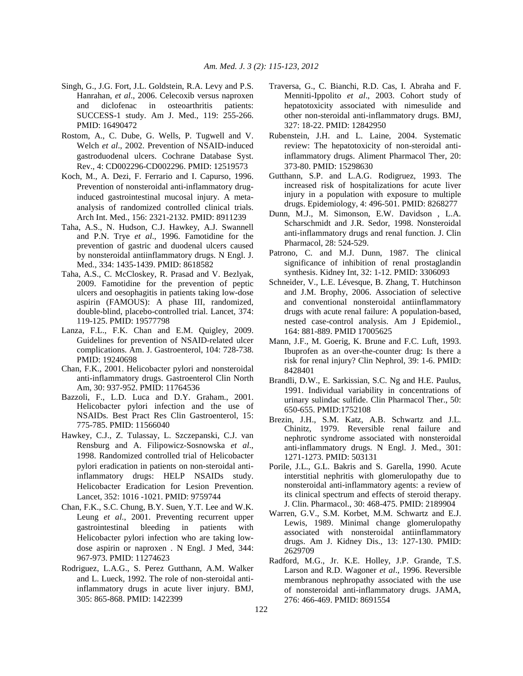- Singh, G., J.G. Fort, J.L. Goldstein, R.A. Levy and P.S. Hanrahan, *et al*., 2006. Celecoxib versus naproxen and diclofenac in osteoarthritis patients: SUCCESS-1 study. Am J. Med., 119: 255-266. PMID: 16490472
- Rostom, A., C. Dube, G. Wells, P. Tugwell and V. Welch *et al*., 2002. Prevention of NSAID-induced gastroduodenal ulcers. Cochrane Database Syst. Rev., 4: CD002296-CD002296. PMID: 12519573
- Koch, M., A. Dezi, F. Ferrario and I. Capurso, 1996. Prevention of nonsteroidal anti-inflammatory druginduced gastrointestinal mucosal injury. A metaanalysis of randomized controlled clinical trials. Arch Int. Med., 156: 2321-2132. PMID: 8911239
- Taha, A.S., N. Hudson, C.J. Hawkey, A.J. Swannell and P.N. Trye *et al*., 1996. Famotidine for the prevention of gastric and duodenal ulcers caused by nonsteroidal antiinflammatory drugs. N Engl. J. Med., 334: 1435-1439. PMID: 8618582
- Taha, A.S., C. McCloskey, R. Prasad and V. Bezlyak, 2009. Famotidine for the prevention of peptic ulcers and oesophagitis in patients taking low-dose aspirin (FAMOUS): A phase III, randomized, double-blind, placebo-controlled trial. Lancet, 374: 119-125. PMID: 19577798
- Lanza, F.L., F.K. Chan and E.M. Quigley, 2009. Guidelines for prevention of NSAID-related ulcer complications. Am. J. Gastroenterol, 104: 728-738. PMID: 19240698
- Chan, F.K., 2001. Helicobacter pylori and nonsteroidal anti-inflammatory drugs. Gastroenterol Clin North Am, 30: 937-952. PMID: 11764536
- Bazzoli, F., L.D. Luca and D.Y. Graham., 2001. Helicobacter pylori infection and the use of NSAIDs. Best Pract Res Clin Gastroenterol, 15: 775-785. PMID: 11566040
- Hawkey, C.J., Z. Tulassay, L. Szczepanski, C.J. van Rensburg and A. Filipowicz-Sosnowska *et al*., 1998. Randomized controlled trial of Helicobacter pylori eradication in patients on non-steroidal antiinflammatory drugs: HELP NSAIDs study. Helicobacter Eradication for Lesion Prevention. Lancet, 352: 1016 -1021. PMID: 9759744
- Chan, F.K., S.C. Chung, B.Y. Suen, Y.T. Lee and W.K. Leung *et al*., 2001. Preventing recurrent upper gastrointestinal bleeding in patients with Helicobacter pylori infection who are taking lowdose aspirin or naproxen . N Engl. J Med, 344: 967-973. PMID: 11274623
- Rodriguez, L.A.G., S. Perez Gutthann, A.M. Walker and L. Lueck, 1992. The role of non-steroidal antiinflammatory drugs in acute liver injury. BMJ, 305: 865-868. PMID: 1422399
- Traversa, G., C. Bianchi, R.D. Cas, I. Abraha and F. Menniti-Ippolito *et al*., 2003. Cohort study of hepatotoxicity associated with nimesulide and other non-steroidal anti-inflammatory drugs. BMJ, 327: 18-22. PMID: 12842950
- Rubenstein, J.H. and L. Laine, 2004. Systematic review: The hepatotoxicity of non-steroidal antiinflammatory drugs. Aliment Pharmacol Ther, 20: 373-80. PMID: 15298630
- Gutthann, S.P. and L.A.G. Rodigruez, 1993. The increased risk of hospitalizations for acute liver injury in a population with exposure to multiple drugs. Epidemiology, 4: 496-501. PMID: 8268277
- Dunn, M.J., M. Simonson, E.W. Davidson , L.A. Scharschmidt and J.R. Sedor, 1998. Nonsteroidal anti-inflammatory drugs and renal function. J. Clin Pharmacol, 28: 524-529.
- Patrono, C. and M.J. Dunn, 1987. The clinical significance of inhibition of renal prostaglandin synthesis. Kidney Int, 32: 1-12. PMID: 3306093
- Schneider, V., L.E. Lévesque, B. Zhang, T. Hutchinson and J.M. Brophy, 2006. Association of selective and conventional nonsteroidal antiinflammatory drugs with acute renal failure: A population-based, nested case-control analysis. Am J Epidemiol., 164: 881-889. PMID 17005625
- Mann, J.F., M. Goerig, K. Brune and F.C. Luft, 1993. Ibuprofen as an over-the-counter drug: Is there a risk for renal injury? Clin Nephrol, 39: 1-6. PMID: 8428401
- Brandli, D.W., E. Sarkissian, S.C. Ng and H.E. Paulus, 1991. Individual variability in concentrations of urinary sulindac sulfide. Clin Pharmacol Ther., 50: 650-655. PMID:1752108
- Brezin, J.H., S.M. Katz, A.B. Schwartz and J.L. Chinitz, 1979. Reversible renal failure and nephrotic syndrome associated with nonsteroidal anti-inflammatory drugs. N Engl. J. Med., 301: 1271-1273. PMID: 503131
- Porile, J.L., G.L. Bakris and S. Garella, 1990. Acute interstitial nephritis with glomerulopathy due to nonsteroidal anti-inflammatory agents: a review of its clinical spectrum and effects of steroid therapy. J. Clin. Pharmacol., 30: 468-475. PMID: 2189904
- Warren, G.V., S.M. Korbet, M.M. Schwartz and E.J. Lewis, 1989. Minimal change glomerulopathy associated with nonsteroidal antiinflammatory drugs. Am J. Kidney Dis., 13: 127-130. PMID: 2629709
- Radford, M.G., Jr. K.E. Holley, J.P. Grande, T.S. Larson and R.D. Wagoner *et al*., 1996. Reversible membranous nephropathy associated with the use of nonsteroidal anti-inflammatory drugs. JAMA, 276: 466-469. PMID: 8691554